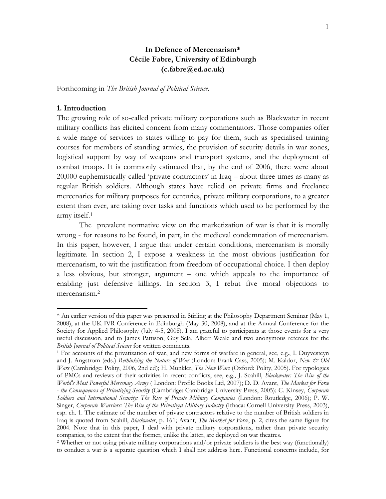# **In Defence of Mercenarism\* Cécile Fabre, University of Edinburgh (c.fabre@ed.ac.uk)**

Forthcoming in *The British Journal of Political Science.*

# **1. Introduction**

 $\overline{a}$ 

The growing role of so-called private military corporations such as Blackwater in recent military conflicts has elicited concern from many commentators. Those companies offer a wide range of services to states willing to pay for them, such as specialised training courses for members of standing armies, the provision of security details in war zones, logistical support by way of weapons and transport systems, and the deployment of combat troops. It is commonly estimated that, by the end of 2006, there were about 20,000 euphemistically-called 'private contractors' in Iraq – about three times as many as regular British soldiers. Although states have relied on private firms and freelance mercenaries for military purposes for centuries, private military corporations, to a greater extent than ever, are taking over tasks and functions which used to be performed by the army itself.<sup>1</sup>

The prevalent normative view on the marketization of war is that it is morally wrong - for reasons to be found, in part, in the medieval condemnation of mercenarism. In this paper, however, I argue that under certain conditions, mercenarism is morally legitimate. In section 2, I expose a weakness in the most obvious justification for mercenarism, to wit the justification from freedom of occupational choice. I then deploy a less obvious, but stronger, argument – one which appeals to the importance of enabling just defensive killings. In section 3, I rebut five moral objections to mercenarism.<sup>2</sup>

<sup>\*</sup> An earlier version of this paper was presented in Stirling at the Philosophy Department Seminar (May 1, 2008), at the UK IVR Conference in Edinburgh (May 30, 2008), and at the Annual Conference for the Society for Applied Philosophy (July 4-5, 2008). I am grateful to participants at those events for a very useful discussion, and to James Pattison, Guy Sela, Albert Weale and two anonymous referees for the *British Journal of Political Science* for written comments.

<sup>&</sup>lt;sup>1</sup> For accounts of the privatization of war, and new forms of warfare in general, see, e.g., I. Duyvesteyn and J. Angstrom (eds.) *Rethinking the Nature of War* (London: Frank Cass, 2005); M. Kaldor, *New & Old Wars* (Cambridge: Polity, 2006, 2nd ed); H. Munkler, *The New Wars* (Oxford: Polity, 2005). For typologies of PMCs and reviews of their activities in recent conflicts, see, e.g., J. Scahill, *Blackwater: The Rise of the World's Most Powerful Mercenary Army* ( London: Profile Books Ltd, 2007); D. D. Avant, *The Market for Force - the Consequences of Privatizing Security* (Cambridge: Cambridge University Press, 2005); C. Kinsey, *Corporate Soldiers and International Security: The Rise of Private Military Companies* (London: Routledge, 2006); P. W. Singer, *Corporate Warriors: The Rise of the Privatized Military Industry* (Ithaca: Cornell University Press, 2003), esp. ch. 1. The estimate of the number of private contractors relative to the number of British soldiers in Iraq is quoted from Scahill, *Blackwater*, p. 161; Avant, *The Market for Force*, p. 2, cites the same figure for 2004. Note that in this paper, I deal with private military corporations, rather than private security companies, to the extent that the former, unlike the latter, are deployed on war theatres.

<sup>2</sup> Whether or not using private military corporations and/or private soldiers is the best way (functionally) to conduct a war is a separate question which I shall not address here. Functional concerns include, for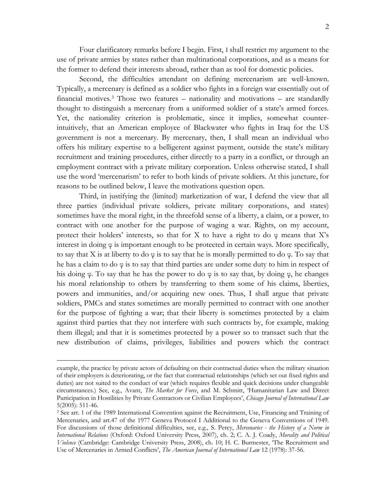Four clarificatory remarks before I begin. First, I shall restrict my argument to the use of private armies by states rather than multinational corporations, and as a means for the former to defend their interests abroad, rather than as tool for domestic policies.

Second, the difficulties attendant on defining mercenarism are well-known. Typically, a mercenary is defined as a soldier who fights in a foreign war essentially out of financial motives.<sup>3</sup> Those two features – nationality and motivations – are standardly thought to distinguish a mercenary from a uniformed soldier of a state's armed forces. Yet, the nationality criterion is problematic, since it implies, somewhat counterintuitively, that an American employee of Blackwater who fights in Iraq for the US government is not a mercenary. By mercenary, then, I shall mean an individual who offers his military expertise to a belligerent against payment, outside the state's military recruitment and training procedures, either directly to a party in a conflict, or through an employment contract with a private military corporation. Unless otherwise stated, I shall use the word 'mercenarism' to refer to both kinds of private soldiers. At this juncture, for reasons to be outlined below, I leave the motivations question open.

Third, in justifying the (limited) marketization of war, I defend the view that all three parties (individual private soldiers, private military corporations, and states) sometimes have the moral right, in the threefold sense of a liberty, a claim, or a power, to contract with one another for the purpose of waging a war. Rights, on my account, protect their holders' interests, so that for X to have a right to do  $\varphi$  means that X's interest in doing φ is important enough to be protected in certain ways. More specifically, to say that X is at liberty to do  $\varphi$  is to say that he is morally permitted to do  $\varphi$ . To say that he has a claim to do  $\varphi$  is to say that third parties are under some duty to him in respect of his doing  $\varphi$ . To say that he has the power to do  $\varphi$  is to say that, by doing  $\varphi$ , he changes his moral relationship to others by transferring to them some of his claims, liberties, powers and immunities, and/or acquiring new ones. Thus, I shall argue that private soldiers, PMCs and states sometimes are morally permitted to contract with one another for the purpose of fighting a war; that their liberty is sometimes protected by a claim against third parties that they not interfere with such contracts by, for example, making them illegal; and that it is sometimes protected by a power so to transact such that the new distribution of claims, privileges, liabilities and powers which the contract

example, the practice by private actors of defaulting on their contractual duties when the military situation of their employers is deteriorating, or the fact that contractual relationships (which set out fixed rights and duties) are not suited to the conduct of war (which requires flexible and quick decisions under changeable circumstances.) See, e.g., Avant, *The Market for Force*, and M. Schmitt, 'Humanitarian Law and Direct Participation in Hostilities by Private Contractors or Civilian Employees', *Chicago Journal of International Law* 5(2005): 511-46.

<sup>3</sup> See art. 1 of the 1989 International Convention against the Recruitment, Use, Financing and Training of Mercenaries, and art.47 of the 1977 Geneva Protocol I Additional to the Geneva Conventions of 1949. For discussions of those definitional difficulties, see, e.g., S. Percy, *Mercenaries - the History of a Norm in International Relations* (Oxford: Oxford University Press, 2007), ch. 2; C. A. J. Coady, *Morality and Political Violence* (Cambridge: Cambridge University Press, 2008), ch. 10; H. C. Burmester, 'The Recruitment and Use of Mercenaries in Armed Conflicts', *The American Journal of International Law* 12 (1978): 37-56.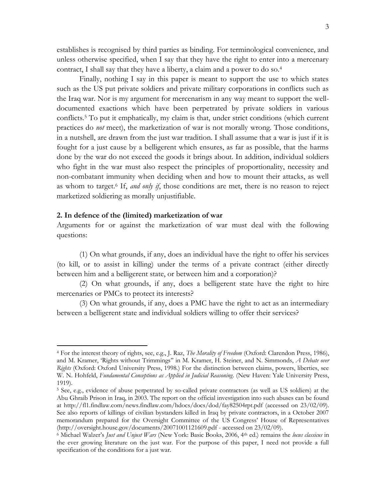establishes is recognised by third parties as binding. For terminological convenience, and unless otherwise specified, when I say that they have the right to enter into a mercenary contract, I shall say that they have a liberty, a claim and a power to do so.<sup>4</sup>

Finally, nothing I say in this paper is meant to support the use to which states such as the US put private soldiers and private military corporations in conflicts such as the Iraq war. Nor is my argument for mercenarism in any way meant to support the welldocumented exactions which have been perpetrated by private soldiers in various conflicts.<sup>5</sup> To put it emphatically, my claim is that, under strict conditions (which current practices do *not* meet), the marketization of war is not morally wrong. Those conditions, in a nutshell, are drawn from the just war tradition. I shall assume that a war is just if it is fought for a just cause by a belligerent which ensures, as far as possible, that the harms done by the war do not exceed the goods it brings about. In addition, individual soldiers who fight in the war must also respect the principles of proportionality, necessity and non-combatant immunity when deciding when and how to mount their attacks, as well as whom to target.<sup>6</sup> If, *and only if*, those conditions are met, there is no reason to reject marketized soldiering as morally unjustifiable.

### **2. In defence of the (limited) marketization of war**

 $\overline{a}$ 

Arguments for or against the marketization of war must deal with the following questions:

(1) On what grounds, if any, does an individual have the right to offer his services (to kill, or to assist in killing) under the terms of a private contract (either directly between him and a belligerent state, or between him and a corporation)?

(2) On what grounds, if any, does a belligerent state have the right to hire mercenaries or PMCs to protect its interests?

(3) On what grounds, if any, does a PMC have the right to act as an intermediary between a belligerent state and individual soldiers willing to offer their services?

<sup>4</sup> For the interest theory of rights, see, e.g., J. Raz, *The Morality of Freedom* (Oxford: Clarendon Press, 1986), and M. Kramer, 'Rights without Trimmings'' in M. Kramer, H. Steiner, and N. Simmonds, *A Debate over Rights* (Oxford: Oxford University Press, 1998.) For the distinction between claims, powers, liberties, see W. N. Hohfeld, *Fundamental Conceptions as Applied in Judicial Reasoning*. (New Haven: Yale University Press, 1919).

<sup>5</sup> See, e.g., evidence of abuse perpetrated by so-called private contractors (as well as US soldiers) at the Abu Ghraib Prison in Iraq, in 2003. The report on the official investigation into such abuses can be found at http://fl1.findlaw.com/news.findlaw.com/hdocs/docs/dod/fay82504rpt.pdf (accessed on 23/02/09). See also reports of killings of civilian bystanders killed in Iraq by private contractors, in a October 2007 memorandum prepared for the Oversight Committee of the US Congress' House of Representatives (http://oversight.house.gov/documents/20071001121609.pdf - accessed on 23/02/09).

<sup>6</sup> Michael Walzer's *Just and Unjust Wars* (New York: Basic Books, 2006, 4th ed.) remains the *locus classicus* in the ever growing literature on the just war. For the purpose of this paper, I need not provide a full specification of the conditions for a just war.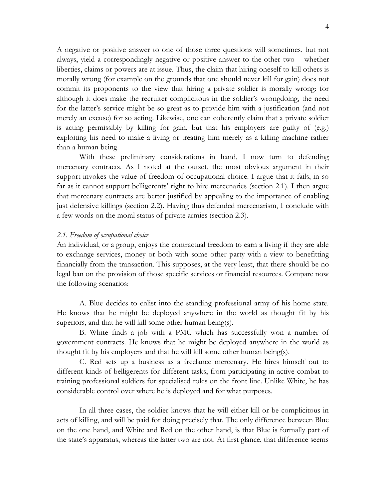A negative or positive answer to one of those three questions will sometimes, but not always, yield a correspondingly negative or positive answer to the other two – whether liberties, claims or powers are at issue. Thus, the claim that hiring oneself to kill others is morally wrong (for example on the grounds that one should never kill for gain) does not commit its proponents to the view that hiring a private soldier is morally wrong: for although it does make the recruiter complicitous in the soldier's wrongdoing, the need for the latter's service might be so great as to provide him with a justification (and not merely an excuse) for so acting. Likewise, one can coherently claim that a private soldier is acting permissibly by killing for gain, but that his employers are guilty of (e.g.) exploiting his need to make a living or treating him merely as a killing machine rather than a human being.

With these preliminary considerations in hand, I now turn to defending mercenary contracts. As I noted at the outset, the most obvious argument in their support invokes the value of freedom of occupational choice. I argue that it fails, in so far as it cannot support belligerents' right to hire mercenaries (section 2.1). I then argue that mercenary contracts are better justified by appealing to the importance of enabling just defensive killings (section 2.2). Having thus defended mercenarism, I conclude with a few words on the moral status of private armies (section 2.3).

### *2.1. Freedom of occupational choice*

An individual, or a group, enjoys the contractual freedom to earn a living if they are able to exchange services, money or both with some other party with a view to benefitting financially from the transaction. This supposes, at the very least, that there should be no legal ban on the provision of those specific services or financial resources. Compare now the following scenarios:

A. Blue decides to enlist into the standing professional army of his home state. He knows that he might be deployed anywhere in the world as thought fit by his superiors, and that he will kill some other human being(s).

B. White finds a job with a PMC which has successfully won a number of government contracts. He knows that he might be deployed anywhere in the world as thought fit by his employers and that he will kill some other human being(s).

C. Red sets up a business as a freelance mercenary. He hires himself out to different kinds of belligerents for different tasks, from participating in active combat to training professional soldiers for specialised roles on the front line. Unlike White, he has considerable control over where he is deployed and for what purposes.

In all three cases, the soldier knows that he will either kill or be complicitous in acts of killing, and will be paid for doing precisely that. The only difference between Blue on the one hand, and White and Red on the other hand, is that Blue is formally part of the state's apparatus, whereas the latter two are not. At first glance, that difference seems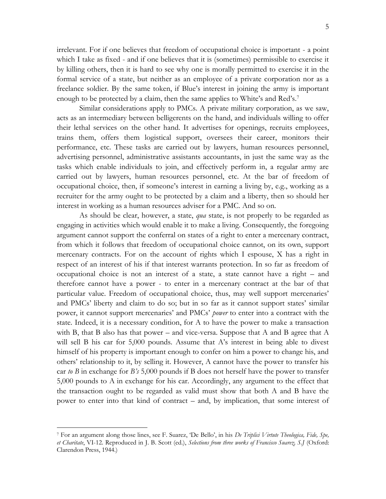irrelevant. For if one believes that freedom of occupational choice is important - a point which I take as fixed - and if one believes that it is (sometimes) permissible to exercise it by killing others, then it is hard to see why one is morally permitted to exercise it in the formal service of a state, but neither as an employee of a private corporation nor as a freelance soldier. By the same token, if Blue's interest in joining the army is important enough to be protected by a claim, then the same applies to White's and Red's.<sup>7</sup>

Similar considerations apply to PMCs. A private military corporation, as we saw, acts as an intermediary between belligerents on the hand, and individuals willing to offer their lethal services on the other hand. It advertises for openings, recruits employees, trains them, offers them logistical support, oversees their career, monitors their performance, etc. These tasks are carried out by lawyers, human resources personnel, advertising personnel, administrative assistants accountants, in just the same way as the tasks which enable individuals to join, and effectively perform in, a regular army are carried out by lawyers, human resources personnel, etc. At the bar of freedom of occupational choice, then, if someone's interest in earning a living by, e.g., working as a recruiter for the army ought to be protected by a claim and a liberty, then so should her interest in working as a human resources adviser for a PMC. And so on.

As should be clear, however, a state, *qua* state, is not properly to be regarded as engaging in activities which would enable it to make a living. Consequently, the foregoing argument cannot support the conferral on states of a right to enter a mercenary contract, from which it follows that freedom of occupational choice cannot, on its own, support mercenary contracts. For on the account of rights which I espouse, X has a right in respect of an interest of his if that interest warrants protection. In so far as freedom of occupational choice is not an interest of a state, a state cannot have a right – and therefore cannot have a power - to enter in a mercenary contract at the bar of that particular value. Freedom of occupational choice, thus, may well support mercenaries' and PMCs' liberty and claim to do so; but in so far as it cannot support states' similar power, it cannot support mercenaries' and PMCs' *power* to enter into a contract with the state. Indeed, it is a necessary condition, for A to have the power to make a transaction with B, that B also has that power – and vice-versa. Suppose that A and B agree that A will sell B his car for 5,000 pounds. Assume that A's interest in being able to divest himself of his property is important enough to confer on him a power to change his, and others' relationship to it, by selling it. However, A cannot have the power to transfer his car *to B* in exchange for *B's* 5,000 pounds if B does not herself have the power to transfer 5,000 pounds to A in exchange for his car. Accordingly, any argument to the effect that the transaction ought to be regarded as valid must show that both A and B have the power to enter into that kind of contract – and, by implication, that some interest of

<sup>7</sup> For an argument along those lines, see F. Suarez, 'De Bello', in his *De Triplici Virtute Theologica, Fide, Spe, et Charitate*, VI-12. Reproduced in J. B. Scott (ed.), *Selections from three works of Francisco Suarez, S.J* (Oxford: Clarendon Press, 1944.)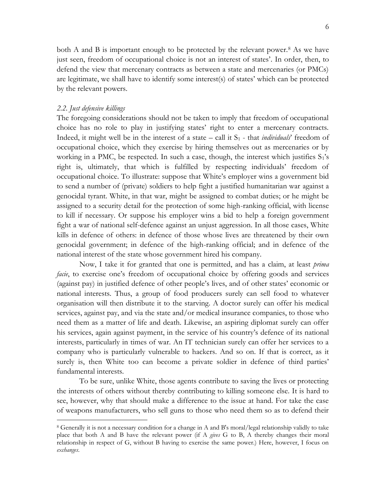both A and B is important enough to be protected by the relevant power.<sup>8</sup> As we have just seen, freedom of occupational choice is not an interest of states'. In order, then, to defend the view that mercenary contracts as between a state and mercenaries (or PMCs) are legitimate, we shall have to identify some interest(s) of states' which can be protected by the relevant powers.

### *2.2. Just defensive killings*

 $\overline{a}$ 

The foregoing considerations should not be taken to imply that freedom of occupational choice has no role to play in justifying states' right to enter a mercenary contracts. Indeed, it might well be in the interest of a state – call it S<sub>1</sub> - that *individuals*' freedom of occupational choice, which they exercise by hiring themselves out as mercenaries or by working in a PMC, be respected. In such a case, though, the interest which justifies  $S_1$ 's right is, ultimately, that which is fulfilled by respecting individuals' freedom of occupational choice. To illustrate: suppose that White's employer wins a government bid to send a number of (private) soldiers to help fight a justified humanitarian war against a genocidal tyrant. White, in that war, might be assigned to combat duties; or he might be assigned to a security detail for the protection of some high-ranking official, with license to kill if necessary. Or suppose his employer wins a bid to help a foreign government fight a war of national self-defence against an unjust aggression. In all those cases, White kills in defence of others: in defence of those whose lives are threatened by their own genocidal government; in defence of the high-ranking official; and in defence of the national interest of the state whose government hired his company.

Now, I take it for granted that one is permitted, and has a claim, at least *prima facie*, to exercise one's freedom of occupational choice by offering goods and services (against pay) in justified defence of other people's lives, and of other states' economic or national interests. Thus, a group of food producers surely can sell food to whatever organisation will then distribute it to the starving. A doctor surely can offer his medical services, against pay, and via the state and/or medical insurance companies, to those who need them as a matter of life and death. Likewise, an aspiring diplomat surely can offer his services, again against payment, in the service of his country's defence of its national interests, particularly in times of war. An IT technician surely can offer her services to a company who is particularly vulnerable to hackers. And so on. If that is correct, as it surely is, then White too can become a private soldier in defence of third parties' fundamental interests.

To be sure, unlike White, those agents contribute to saving the lives or protecting the interests of others without thereby contributing to killing someone else. It is hard to see, however, why that should make a difference to the issue at hand. For take the case of weapons manufacturers, who sell guns to those who need them so as to defend their

<sup>8</sup> Generally it is not a necessary condition for a change in A and B's moral/legal relationship validly to take place that both A and B have the relevant power (if A *gives* G to B, A thereby changes their moral relationship in respect of G, without B having to exercise the same power.) Here, however, I focus on *exchanges*.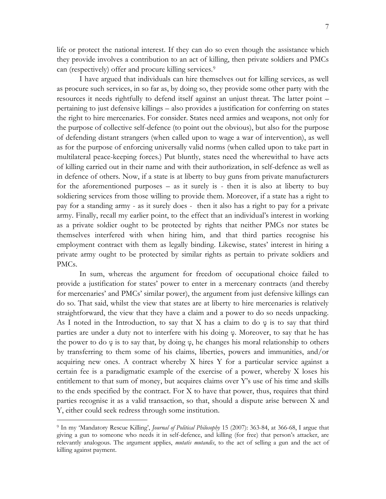life or protect the national interest. If they can do so even though the assistance which they provide involves a contribution to an act of killing, then private soldiers and PMCs can (respectively) offer and procure killing services.<sup>9</sup>

I have argued that individuals can hire themselves out for killing services, as well as procure such services, in so far as, by doing so, they provide some other party with the resources it needs rightfully to defend itself against an unjust threat. The latter point – pertaining to just defensive killings – also provides a justification for conferring on states the right to hire mercenaries. For consider. States need armies and weapons, not only for the purpose of collective self-defence (to point out the obvious), but also for the purpose of defending distant strangers (when called upon to wage a war of intervention), as well as for the purpose of enforcing universally valid norms (when called upon to take part in multilateral peace-keeping forces.) Put bluntly, states need the wherewithal to have acts of killing carried out in their name and with their authorization, in self-defence as well as in defence of others. Now, if a state is at liberty to buy guns from private manufacturers for the aforementioned purposes – as it surely is - then it is also at liberty to buy soldiering services from those willing to provide them. Moreover, if a state has a right to pay for a standing army - as it surely does - then it also has a right to pay for a private army. Finally, recall my earlier point, to the effect that an individual's interest in working as a private soldier ought to be protected by rights that neither PMCs nor states be themselves interfered with when hiring him, and that third parties recognise his employment contract with them as legally binding. Likewise, states' interest in hiring a private army ought to be protected by similar rights as pertain to private soldiers and PMCs.

In sum, whereas the argument for freedom of occupational choice failed to provide a justification for states' power to enter in a mercenary contracts (and thereby for mercenaries' and PMCs' similar power), the argument from just defensive killings can do so. That said, whilst the view that states are at liberty to hire mercenaries is relatively straightforward, the view that they have a claim and a power to do so needs unpacking. As I noted in the Introduction, to say that X has a claim to do  $\varphi$  is to say that third parties are under a duty not to interfere with his doing φ. Moreover, to say that he has the power to do  $\varphi$  is to say that, by doing  $\varphi$ , he changes his moral relationship to others by transferring to them some of his claims, liberties, powers and immunities, and/or acquiring new ones. A contract whereby X hires Y for a particular service against a certain fee is a paradigmatic example of the exercise of a power, whereby X loses his entitlement to that sum of money, but acquires claims over Y's use of his time and skills to the ends specified by the contract. For X to have that power, thus, requires that third parties recognise it as a valid transaction, so that, should a dispute arise between X and Y, either could seek redress through some institution.

<sup>9</sup> In my 'Mandatory Rescue Killing', *Journal of Political Philosophy* 15 (2007): 363-84, at 366-68, I argue that giving a gun to someone who needs it in self-defence, and killing (for free) that person's attacker, are relevantly analogous. The argument applies, *mutatis mutandis*, to the act of selling a gun and the act of killing against payment.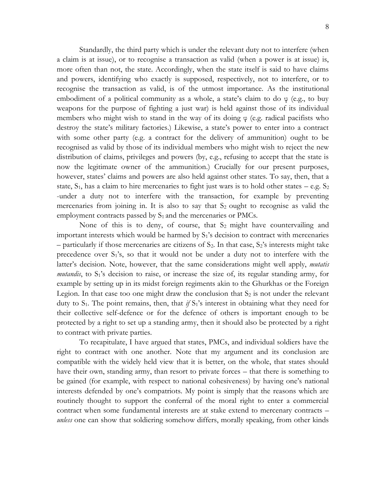Standardly, the third party which is under the relevant duty not to interfere (when a claim is at issue), or to recognise a transaction as valid (when a power is at issue) is, more often than not, the state. Accordingly, when the state itself is said to have claims and powers, identifying who exactly is supposed, respectively, not to interfere, or to recognise the transaction as valid, is of the utmost importance. As the institutional embodiment of a political community as a whole, a state's claim to do  $\varphi$  (e.g., to buy weapons for the purpose of fighting a just war) is held against those of its individual members who might wish to stand in the way of its doing  $\varphi$  (e.g. radical pacifists who destroy the state's military factories.) Likewise, a state's power to enter into a contract with some other party (e.g. a contract for the delivery of ammunition) ought to be recognised as valid by those of its individual members who might wish to reject the new distribution of claims, privileges and powers (by, e.g., refusing to accept that the state is now the legitimate owner of the ammunition.) Crucially for our present purposes, however, states' claims and powers are also held against other states. To say, then, that a state,  $S_1$ , has a claim to hire mercenaries to fight just wars is to hold other states – e.g.  $S_2$ -under a duty not to interfere with the transaction, for example by preventing mercenaries from joining in. It is also to say that  $S_2$  ought to recognise as valid the employment contracts passed by  $S_1$  and the mercenaries or PMCs.

None of this is to deny, of course, that  $S_2$  might have countervailing and important interests which would be harmed by  $S_1$ 's decision to contract with mercenaries – particularly if those mercenaries are citizens of  $S_2$ . In that case,  $S_2$ 's interests might take precedence over  $S_1$ 's, so that it would not be under a duty not to interfere with the latter's decision. Note, however, that the same considerations might well apply, *mutatis mutandis*, to S<sub>1</sub>'s decision to raise, or increase the size of, its regular standing army, for example by setting up in its midst foreign regiments akin to the Ghurkhas or the Foreign Legion. In that case too one might draw the conclusion that  $S_2$  is not under the relevant duty to  $S_1$ . The point remains, then, that  $if S_1$ 's interest in obtaining what they need for their collective self-defence or for the defence of others is important enough to be protected by a right to set up a standing army, then it should also be protected by a right to contract with private parties.

To recapitulate, I have argued that states, PMCs, and individual soldiers have the right to contract with one another. Note that my argument and its conclusion are compatible with the widely held view that it is better, on the whole, that states should have their own, standing army, than resort to private forces – that there is something to be gained (for example, with respect to national cohesiveness) by having one's national interests defended by one's compatriots. My point is simply that the reasons which are routinely thought to support the conferral of the moral right to enter a commercial contract when some fundamental interests are at stake extend to mercenary contracts – *unless* one can show that soldiering somehow differs, morally speaking, from other kinds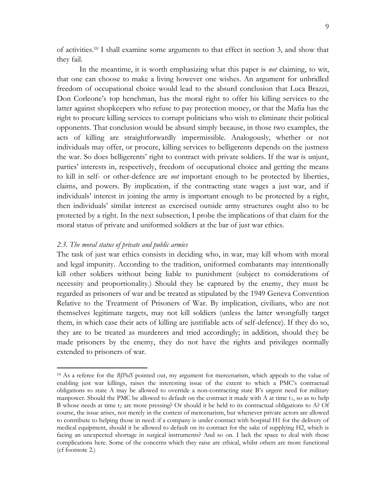of activities.<sup>10</sup> I shall examine some arguments to that effect in section 3, and show that they fail.

In the meantime, it is worth emphasizing what this paper is *not* claiming, to wit, that one can choose to make a living however one wishes. An argument for unbridled freedom of occupational choice would lead to the absurd conclusion that Luca Brazzi, Don Corleone's top henchman, has the moral right to offer his killing services to the latter against shopkeepers who refuse to pay protection money, or that the Mafia has the right to procure killing services to corrupt politicians who wish to eliminate their political opponents. That conclusion would be absurd simply because, in those two examples, the acts of killing are straightforwardly impermissible. Analogously, whether or not individuals may offer, or procure, killing services to belligerents depends on the justness the war. So does belligerents' right to contract with private soldiers. If the war is unjust, parties' interests in, respectively, freedom of occupational choice and getting the means to kill in self- or other-defence are *not* important enough to be protected by liberties, claims, and powers. By implication, if the contracting state wages a just war, and if individuals' interest in joining the army is important enough to be protected by a right, then individuals' similar interest as exercised outside army structures ought also to be protected by a right. In the next subsection, I probe the implications of that claim for the moral status of private and uniformed soldiers at the bar of just war ethics.

#### *2.3. The moral status of private and public armies*

 $\overline{a}$ 

The task of just war ethics consists in deciding who, in war, may kill whom with moral and legal impunity. According to the tradition, uniformed combatants may intentionally kill other soldiers without being liable to punishment (subject to considerations of necessity and proportionality.) Should they be captured by the enemy, they must be regarded as prisoners of war and be treated as stipulated by the 1949 Geneva Convention Relative to the Treatment of Prisoners of War*.* By implication, civilians, who are not themselves legitimate targets, may not kill soldiers (unless the latter wrongfully target them, in which case their acts of killing are justifiable acts of self-defence). If they do so, they are to be treated as murderers and tried accordingly; in addition, should they be made prisoners by the enemy, they do not have the rights and privileges normally extended to prisoners of war.

<sup>10</sup> As a referee for the *BJPolS* pointed out, my argument for mercenarism, which appeals to the value of enabling just war killings, raises the interesting issue of the extent to which a PMC's contractual obligations to state A may be allowed to override a non-contracting state B's urgent need for military manpower. Should the PMC be allowed to default on the contract it made with  $A$  at time  $t_1$ , so as to help B whose needs at time t<sub>2</sub> are more pressing? Or should it be held to its contractual obligations to A? Of course, the issue arises, not merely in the context of mercenarism, but whenever private actors are allowed to contribute to helping those in need: if a company is under contract with hospital H1 for the delivery of medical equipment, should it be allowed to default on its contract for the sake of supplying H2, which is facing an unexpected shortage in surgical instruments? And so on. I lack the space to deal with those complications here. Some of the concerns which they raise are ethical, whilst others are more functional (cf footnote 2.)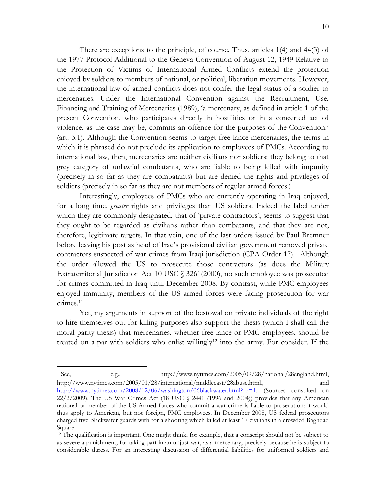There are exceptions to the principle, of course. Thus, articles 1(4) and 44(3) of the 1977 Protocol Additional to the Geneva Convention of August 12, 1949 Relative to the Protection of Victims of International Armed Conflicts extend the protection enjoyed by soldiers to members of national, or political, liberation movements. However, the international law of armed conflicts does not confer the legal status of a soldier to mercenaries. Under the International Convention against the Recruitment, Use, Financing and Training of Mercenaries (1989), 'a mercenary, as defined in article 1 of the present Convention, who participates directly in hostilities or in a concerted act of violence, as the case may be, commits an offence for the purposes of the Convention.' (art. 3.1). Although the Convention seems to target free-lance mercenaries, the terms in which it is phrased do not preclude its application to employees of PMCs. According to international law, then, mercenaries are neither civilians nor soldiers: they belong to that grey category of unlawful combatants, who are liable to being killed with impunity (precisely in so far as they are combatants) but are denied the rights and privileges of soldiers (precisely in so far as they are not members of regular armed forces.)

Interestingly, employees of PMCs who are currently operating in Iraq enjoyed, for a long time, *greater* rights and privileges than US soldiers. Indeed the label under which they are commonly designated, that of 'private contractors', seems to suggest that they ought to be regarded as civilians rather than combatants, and that they are not, therefore, legitimate targets. In that vein, one of the last orders issued by Paul Bremner before leaving his post as head of Iraq's provisional civilian government removed private contractors suspected of war crimes from Iraqi jurisdiction (CPA Order 17). Although the order allowed the US to prosecute those contractors (as does the Military Extraterritorial Jurisdiction Act 10 USC § 3261(2000), no such employee was prosecuted for crimes committed in Iraq until December 2008. By contrast, while PMC employees enjoyed immunity, members of the US armed forces were facing prosecution for war crimes. 11

Yet, my arguments in support of the bestowal on private individuals of the right to hire themselves out for killing purposes also support the thesis (which I shall call the moral parity thesis) that mercenaries, whether free-lance or PMC employees, should be treated on a par with soldiers who enlist willingly<sup>12</sup> into the army. For consider. If the

<sup>11</sup>See, e.g., http://www.nytimes.com/2005/09/28/national/28england.html, http://www.nytimes.com/2005/01/28/international/middleeast/28abuse.html, and http://www.nytimes.com/2008/12/06/washington/06blackwater.html? $r=1$ . (Sources consulted on 22/2/2009). The US War Crimes Act (18 USC § 2441 (1996 and 2004)) provides that any American national or member of the US Armed forces who commit a war crime is liable to prosecution: it would thus apply to American, but not foreign, PMC employees. In December 2008, US federal prosecutors charged five Blackwater guards with for a shooting which killed at least 17 civilians in a crowded Baghdad Square.

<sup>&</sup>lt;sup>12</sup> The qualification is important. One might think, for example, that a conscript should not be subject to as severe a punishment, for taking part in an unjust war, as a mercenary, precisely because he is subject to considerable duress. For an interesting discussion of differential liabilities for uniformed soldiers and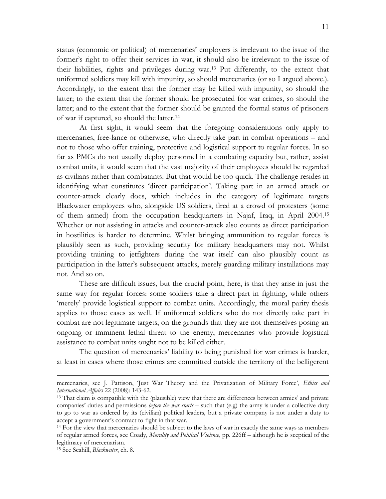11

status (economic or political) of mercenaries' employers is irrelevant to the issue of the former's right to offer their services in war, it should also be irrelevant to the issue of their liabilities, rights and privileges during war.<sup>13</sup> Put differently, to the extent that uniformed soldiers may kill with impunity, so should mercenaries (or so I argued above.). Accordingly, to the extent that the former may be killed with impunity, so should the latter; to the extent that the former should be prosecuted for war crimes, so should the latter; and to the extent that the former should be granted the formal status of prisoners of war if captured, so should the latter.<sup>14</sup>

At first sight, it would seem that the foregoing considerations only apply to mercenaries, free-lance or otherwise, who directly take part in combat operations – and not to those who offer training, protective and logistical support to regular forces. In so far as PMCs do not usually deploy personnel in a combating capacity but, rather, assist combat units, it would seem that the vast majority of their employees should be regarded as civilians rather than combatants. But that would be too quick. The challenge resides in identifying what constitutes 'direct participation'. Taking part in an armed attack or counter-attack clearly does, which includes in the category of legitimate targets Blackwater employees who, alongside US soldiers, fired at a crowd of protesters (some of them armed) from the occupation headquarters in Najaf, Iraq, in April 2004.<sup>15</sup> Whether or not assisting in attacks and counter-attack also counts as direct participation in hostilities is harder to determine. Whilst bringing ammunition to regular forces is plausibly seen as such, providing security for military headquarters may not. Whilst providing training to jetfighters during the war itself can also plausibly count as participation in the latter's subsequent attacks, merely guarding military installations may not. And so on.

These are difficult issues, but the crucial point, here, is that they arise in just the same way for regular forces: some soldiers take a direct part in fighting, while others 'merely' provide logistical support to combat units. Accordingly, the moral parity thesis applies to those cases as well. If uniformed soldiers who do not directly take part in combat are not legitimate targets, on the grounds that they are not themselves posing an ongoing or imminent lethal threat to the enemy, mercenaries who provide logistical assistance to combat units ought not to be killed either.

The question of mercenaries' liability to being punished for war crimes is harder, at least in cases where those crimes are committed outside the territory of the belligerent

mercenaries, see J. Pattison, 'Just War Theory and the Privatization of Military Force', *Ethics and International Affairs* 22 (2008): 143-62.

<sup>13</sup> That claim is compatible with the (plausible) view that there are differences between armies' and private companies' duties and permissions *before the war starts –* such that (e.g) the army is under a collective duty to go to war as ordered by its (civilian) political leaders, but a private company is not under a duty to accept a government's contract to fight in that war.

<sup>&</sup>lt;sup>14</sup> For the view that mercenaries should be subject to the laws of war in exactly the same ways as members of regular armed forces, see Coady, *Morality and Political Violence*, pp. 226ff – although he is sceptical of the legitimacy of mercenarism.

<sup>15</sup> See Scahill, *Blackwater*, ch. 8.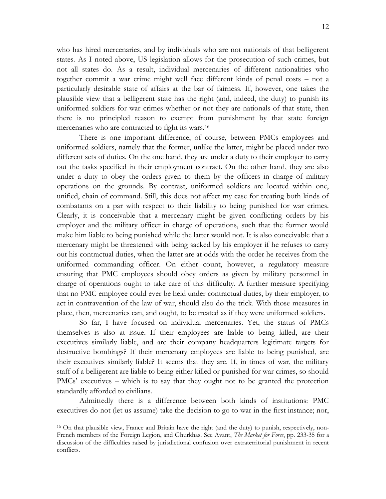who has hired mercenaries, and by individuals who are not nationals of that belligerent states. As I noted above, US legislation allows for the prosecution of such crimes, but not all states do. As a result, individual mercenaries of different nationalities who together commit a war crime might well face different kinds of penal costs – not a particularly desirable state of affairs at the bar of fairness. If, however, one takes the plausible view that a belligerent state has the right (and, indeed, the duty) to punish its uniformed soldiers for war crimes whether or not they are nationals of that state, then there is no principled reason to exempt from punishment by that state foreign mercenaries who are contracted to fight its wars.<sup>16</sup>

There is one important difference, of course, between PMCs employees and uniformed soldiers, namely that the former, unlike the latter, might be placed under two different sets of duties. On the one hand, they are under a duty to their employer to carry out the tasks specified in their employment contract. On the other hand, they are also under a duty to obey the orders given to them by the officers in charge of military operations on the grounds. By contrast, uniformed soldiers are located within one, unified, chain of command. Still, this does not affect my case for treating both kinds of combatants on a par with respect to their liability to being punished for war crimes. Clearly, it is conceivable that a mercenary might be given conflicting orders by his employer and the military officer in charge of operations, such that the former would make him liable to being punished while the latter would not. It is also conceivable that a mercenary might be threatened with being sacked by his employer if he refuses to carry out his contractual duties, when the latter are at odds with the order he receives from the uniformed commanding officer. On either count, however, a regulatory measure ensuring that PMC employees should obey orders as given by military personnel in charge of operations ought to take care of this difficulty. A further measure specifying that no PMC employee could ever be held under contractual duties, by their employer, to act in contravention of the law of war, should also do the trick. With those measures in place, then, mercenaries can, and ought, to be treated as if they were uniformed soldiers.

So far, I have focused on individual mercenaries. Yet, the status of PMCs themselves is also at issue. If their employees are liable to being killed, are their executives similarly liable, and are their company headquarters legitimate targets for destructive bombings? If their mercenary employees are liable to being punished, are their executives similarly liable? It seems that they are. If, in times of war, the military staff of a belligerent are liable to being either killed or punished for war crimes, so should PMCs' executives – which is to say that they ought not to be granted the protection standardly afforded to civilians.

Admittedly there is a difference between both kinds of institutions: PMC executives do not (let us assume) take the decision to go to war in the first instance; nor,

<sup>16</sup> On that plausible view, France and Britain have the right (and the duty) to punish, respectively, non-French members of the Foreign Legion, and Ghurkhas. See Avant, *The Market for Force*, pp. 233-35 for a discussion of the difficulties raised by jurisdictional confusion over extraterritorial punishment in recent conflicts.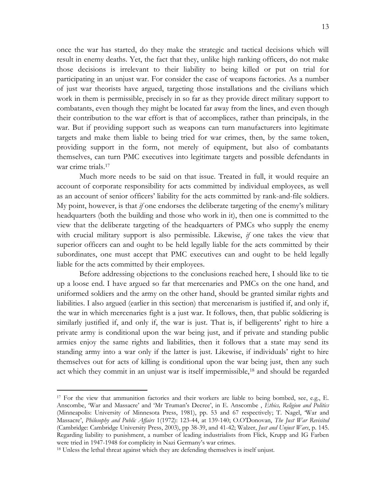once the war has started, do they make the strategic and tactical decisions which will result in enemy deaths. Yet, the fact that they, unlike high ranking officers, do not make those decisions is irrelevant to their liability to being killed or put on trial for participating in an unjust war. For consider the case of weapons factories. As a number of just war theorists have argued, targeting those installations and the civilians which work in them is permissible, precisely in so far as they provide direct military support to combatants, even though they might be located far away from the lines, and even though their contribution to the war effort is that of accomplices, rather than principals, in the war. But if providing support such as weapons can turn manufacturers into legitimate targets and make them liable to being tried for war crimes, then, by the same token, providing support in the form, not merely of equipment, but also of combatants themselves, can turn PMC executives into legitimate targets and possible defendants in war crime trials.<sup>17</sup>

Much more needs to be said on that issue. Treated in full, it would require an account of corporate responsibility for acts committed by individual employees, as well as an account of senior officers' liability for the acts committed by rank-and-file soldiers. My point, however, is that *if* one endorses the deliberate targeting of the enemy's military headquarters (both the building and those who work in it), then one is committed to the view that the deliberate targeting of the headquarters of PMCs who supply the enemy with crucial military support is also permissible. Likewise, *if* one takes the view that superior officers can and ought to be held legally liable for the acts committed by their subordinates, one must accept that PMC executives can and ought to be held legally liable for the acts committed by their employees.

Before addressing objections to the conclusions reached here, I should like to tie up a loose end. I have argued so far that mercenaries and PMCs on the one hand, and uniformed soldiers and the army on the other hand, should be granted similar rights and liabilities. I also argued (earlier in this section) that mercenarism is justified if, and only if, the war in which mercenaries fight is a just war. It follows, then, that public soldiering is similarly justified if, and only if, the war is just. That is, if belligerents' right to hire a private army is conditional upon the war being just, and if private and standing public armies enjoy the same rights and liabilities, then it follows that a state may send its standing army into a war only if the latter is just. Likewise, if individuals' right to hire themselves out for acts of killing is conditional upon the war being just, then any such act which they commit in an unjust war is itself impermissible,<sup>18</sup> and should be regarded

<sup>17</sup> For the view that ammunition factories and their workers are liable to being bombed, see, e.g., E. Anscombe, 'War and Massacre' and 'Mr Truman's Decree', in E. Anscombe , *Ethics, Religion and Politics*  (Minneapolis: University of Minnesota Press, 1981), pp. 53 and 67 respectively; T. Nagel, 'War and Massacre', *Philosophy and Public Affairs* 1(1972): 123-44, at 139-140; O.O'Donovan, *The Just War Revisited* (Cambridge: Cambridge University Press, 2003), pp 38-39, and 41-42; Walzer, *Just and Unjust Wars*, p. 145. Regarding liability to punishment, a number of leading industrialists from Flick, Krupp and IG Farben were tried in 1947-1948 for complicity in Nazi Germany's war crimes.

<sup>&</sup>lt;sup>18</sup> Unless the lethal threat against which they are defending themselves is itself unjust.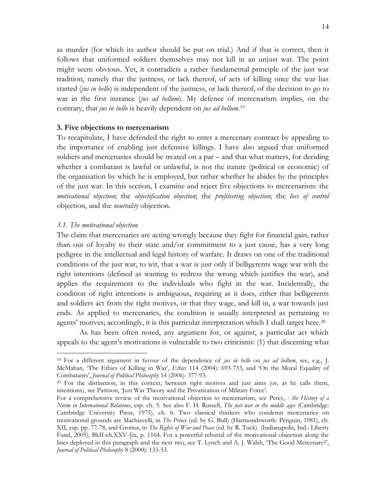as murder (for which its author should be put on trial.) And if that is correct, then it follows that uniformed soldiers themselves may not kill in an unjust war. The point might seem obvious. Yet, it contradicts a rather fundamental principle of the just war tradition, namely that the justness, or lack thereof, of acts of killing once the war has started (*jus in bello*) is independent of the justness, or lack thereof, of the decision to go to war in the first instance (*jus ad bellum*). My defence of mercenarism implies, on the contrary, that *jus in bello* is heavily dependent on *jus ad bellum*. 19

### **3. Five objections to mercenarism**

To recapitulate, I have defended the right to enter a mercenary contract by appealing to the importance of enabling just defensive killings. I have also argued that uniformed soldiers and mercenaries should be treated on a par – and that what matters, for deciding whether a combatant is lawful or unlawful, is not the nature (political or economic) of the organisation by which he is employed, but rather whether he abides by the principles of the just war. In this section, I examine and reject five objections to mercenarism: the *motivational objection*; the *objectification objection*; the *profiteering objection*; the *loss of control*  objection, and the *neutrality* objection.

#### *3.1. The motivational objection*

 $\overline{a}$ 

The claim that mercenaries are acting wrongly because they fight for financial gain, rather than out of loyalty to their state and/or commitment to a just cause, has a very long pedigree in the intellectual and legal history of warfare. It draws on one of the traditional conditions of the just war, to wit, that a war is just only if belligerents wage war with the right intentions (defined as wanting to redress the wrong which justifies the war), and applies the requirement to the individuals who fight in the war. Incidentally, the condition of right intentions is ambiguous, requiring as it does, either that belligerents and soldiers act from the right motives, or that they wage, and kill in, a war towards just ends. As applied to mercenaries, the condition is usually interpreted as pertaining to agents' motives; accordingly, it is this particular interpretation which I shall target here.<sup>20</sup>

As has been often noted, any argument for, or against, a particular act which appeals to the agent's motivations is vulnerable to two criticisms: (1) that discerning what

<sup>19</sup> For a different argument in favour of the dependence of *jus in bello* on *jus ad bellum*, see, e.g., J. McMahan, 'The Ethics of Killing in War', *Ethics* 114 (2004): 693-733, and 'On the Moral Equality of Combatants', *Journal of Political Philosophy* 14 (2006): 377-93.

<sup>20</sup> For the distinction, in this context, between right motives and just aims (or, as he calls them, intentions), see Pattison, 'Just War Theory and the Privatization of Military Force'.

For a comprehensive review of the motivational objection to mercenarism, see Percy, *- the History of a Norm in International Relations*, esp. ch. 5. See also F. H. Russell, *The just war in the middle ages* (Cambridge: Cambridge University Press, 1975), ch. 6. Two classical thinkers who condemn mercenaries on motivational grounds are Machiavelli, in *The Prince* (ed. by G. Bull) (Harmondsworth: Penguin, 1981), ch. XII, esp. pp. 77-78, and Grotius, in *The Rights of War and Peace* (ed. by R. Tuck) (Indianapolis, Ind.: Liberty Fund, 2005), BkII-ch.XXV-§ix, p. 1164. For a powerful rebuttal of the motivational objection along the lines deployed in this paragraph and the next two, see T. Lynch and A. J. Walsh, 'The Good Mercenary?', *Journal of Political Philosophy* 8 (2000): 133-53.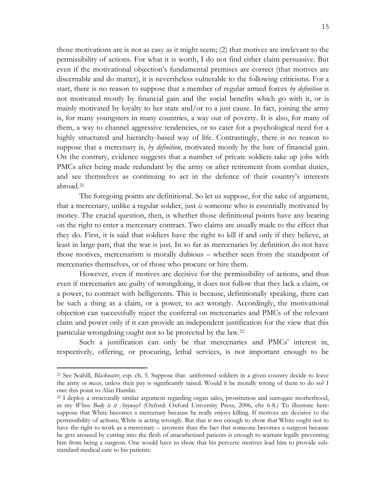those motivations are is not as easy as it might seem; (2) that motives are irrelevant to the permissibility of actions. For what it is worth, I do not find either claim persuasive. But even if the motivational objection's fundamental premises are correct (that motives are discernable and do matter), it is nevertheless vulnerable to the following criticisms. For a start, there is no reason to suppose that a member of regular armed forces *by definition* is not motivated mostly by financial gain and the social benefits which go with it, or is mainly motivated by loyalty to her state and/or to a just cause. In fact, joining the army is, for many youngsters in many countries, a way out of poverty. It is also, for many of them, a way to channel aggressive tendencies, or to cater for a psychological need for a highly structured and hierarchy-based way of life. Contrastingly, there is no reason to suppose that a mercenary is, *by definition*, motivated mostly by the lure of financial gain. On the contrary, evidence suggests that a number of private soldiers take up jobs with PMCs after being made redundant by the army or after retirement from combat duties, and see themselves as continuing to act in the defence of their country's interests abroad. 21

The foregoing points are definitional. So let us suppose, for the sake of argument, that a mercenary, unlike a regular soldier, just *is* someone who is essentially motivated by money. The crucial question, then, is whether those definitional points have any bearing on the right to enter a mercenary contract. Two claims are usually made to the effect that they do. First, it is said that soldiers have the right to kill if and only if they believe, at least in large part, that the war is just. In so far as mercenaries by definition do not have those motives, mercenarism is morally dubious – whether seen from the standpoint of mercenaries themselves, or of those who procure or hire them.

However, even if motives are decisive for the permissibility of actions, and thus even if mercenaries are guilty of wrongdoing, it does not follow that they lack a claim, or a power, to contract with belligerents. This is because, definitionally speaking, there can be such a thing as a claim, or a power, to act wrongly. Accordingly, the motivational objection can successfully reject the conferral on mercenaries and PMCs of the relevant claim and power only if it can provide an independent justification for the view that this particular wrongdoing ought not to be protected by the law.<sup>22</sup>

Such a justification can only be that mercenaries and PMCs' interest in, respectively, offering, or procuring, lethal services, is not important enough to be

<sup>21</sup> See Scahill, *Blackwater*, esp. ch. 5. Suppose that uniformed soldiers in a given country decide to leave the army *en masse*, unless their pay is significantly raised. Would it be morally wrong of them to do so? I owe this point to Alan Hamlin.

<sup>22</sup> I deploy a structurally similar argument regarding organ sales, prostitution and surrogate motherhood, in my *Whose Body is it Anyway?* (Oxford: Oxford University Press, 2006, chs 6-8.) To illustrate here: suppose that White becomes a mercenary because he really enjoys killing. If motives are decisive to the permissibility of actions, White is acting wrongly. But that is not enough to show that White ought not to have the right to work as a mercenary – anymore than the fact that someone becomes a surgeon because he gets aroused by cutting into the flesh of anaesthetized patients is enough to warrant legally preventing him from being a surgeon. One would have to show that his perverse motives lead him to provide substandard medical care to his patients.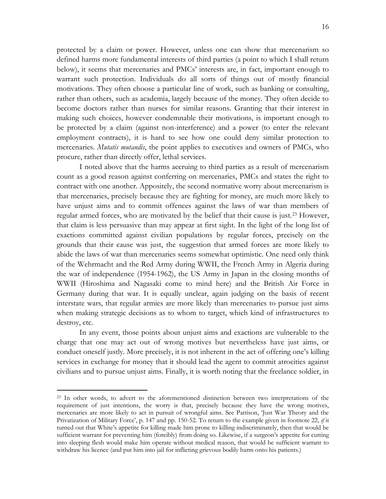protected by a claim or power. However, unless one can show that mercenarism so defined harms more fundamental interests of third parties (a point to which I shall return below), it seems that mercenaries and PMCs' interests are, in fact, important enough to warrant such protection. Individuals do all sorts of things out of mostly financial motivations. They often choose a particular line of work, such as banking or consulting, rather than others, such as academia, largely because of the money. They often decide to become doctors rather than nurses for similar reasons. Granting that their interest in making such choices, however condemnable their motivations, is important enough to be protected by a claim (against non-interference) and a power (to enter the relevant employment contracts), it is hard to see how one could deny similar protection to mercenaries. *Mutatis mutandis*, the point applies to executives and owners of PMCs, who procure, rather than directly offer, lethal services.

I noted above that the harms accruing to third parties as a result of mercenarism count as a good reason against conferring on mercenaries, PMCs and states the right to contract with one another. Appositely, the second normative worry about mercenarism is that mercenaries, precisely because they are fighting for money, are much more likely to have unjust aims and to commit offences against the laws of war than members of regular armed forces, who are motivated by the belief that their cause is just.<sup>23</sup> However, that claim is less persuasive than may appear at first sight. In the light of the long list of exactions committed against civilian populations by regular forces, precisely on the grounds that their cause was just, the suggestion that armed forces are more likely to abide the laws of war than mercenaries seems somewhat optimistic. One need only think of the Wehrmacht and the Red Army during WWII, the French Army in Algeria during the war of independence (1954-1962), the US Army in Japan in the closing months of WWII (Hiroshima and Nagasaki come to mind here) and the British Air Force in Germany during that war. It is equally unclear, again judging on the basis of recent interstate wars, that regular armies are more likely than mercenaries to pursue just aims when making strategic decisions as to whom to target, which kind of infrastructures to destroy, etc.

In any event, those points about unjust aims and exactions are vulnerable to the charge that one may act out of wrong motives but nevertheless have just aims, or conduct oneself justly. More precisely, it is not inherent in the act of offering one's killing services in exchange for money that it should lead the agent to commit atrocities against civilians and to pursue unjust aims. Finally, it is worth noting that the freelance soldier, in

<sup>23</sup> In other words, to advert to the aforementioned distinction between two interpretations of the requirement of just intentions, the worry is that, precisely because they have the wrong motives, mercenaries are more likely to act in pursuit of wrongful aims. See Pattison, 'Just War Theory and the Privatization of Military Force', p. 147 and pp. 150-52. To return to the example given in footnote 22, *if* it turned out that White's appetite for killing made him prone to killing indiscriminately, then that would be sufficient warrant for preventing him (forcibly) from doing so. Likewise, if a surgeon's appetite for cutting into sleeping flesh would make him operate without medical reason, that would be sufficient warrant to withdraw his licence (and put him into jail for inflicting grievous bodily harm onto his patients.)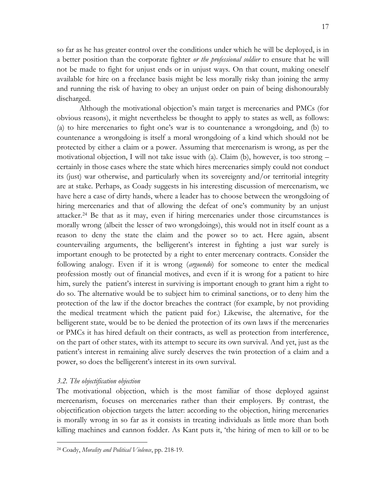17

so far as he has greater control over the conditions under which he will be deployed, is in a better position than the corporate fighter *or the professional soldier* to ensure that he will not be made to fight for unjust ends or in unjust ways. On that count, making oneself available for hire on a freelance basis might be less morally risky than joining the army and running the risk of having to obey an unjust order on pain of being dishonourably discharged.

Although the motivational objection's main target is mercenaries and PMCs (for obvious reasons), it might nevertheless be thought to apply to states as well, as follows: (a) to hire mercenaries to fight one's war is to countenance a wrongdoing, and (b) to countenance a wrongdoing is itself a moral wrongdoing of a kind which should not be protected by either a claim or a power. Assuming that mercenarism is wrong, as per the motivational objection, I will not take issue with (a). Claim (b), however, is too strong  $$ certainly in those cases where the state which hires mercenaries simply could not conduct its (just) war otherwise, and particularly when its sovereignty and/or territorial integrity are at stake. Perhaps, as Coady suggests in his interesting discussion of mercenarism, we have here a case of dirty hands, where a leader has to choose between the wrongdoing of hiring mercenaries and that of allowing the defeat of one's community by an unjust attacker.<sup>24</sup> Be that as it may, even if hiring mercenaries under those circumstances is morally wrong (albeit the lesser of two wrongdoings), this would not in itself count as a reason to deny the state the claim and the power so to act. Here again, absent countervailing arguments, the belligerent's interest in fighting a just war surely is important enough to be protected by a right to enter mercenary contracts. Consider the following analogy. Even if it is wrong (*arguendo*) for someone to enter the medical profession mostly out of financial motives, and even if it is wrong for a patient to hire him, surely the patient's interest in surviving is important enough to grant him a right to do so. The alternative would be to subject him to criminal sanctions, or to deny him the protection of the law if the doctor breaches the contract (for example, by not providing the medical treatment which the patient paid for.) Likewise, the alternative, for the belligerent state, would be to be denied the protection of its own laws if the mercenaries or PMCs it has hired default on their contracts, as well as protection from interference, on the part of other states, with its attempt to secure its own survival. And yet, just as the patient's interest in remaining alive surely deserves the twin protection of a claim and a power, so does the belligerent's interest in its own survival.

# *3.2. The objectification objection*

 $\overline{a}$ 

The motivational objection, which is the most familiar of those deployed against mercenarism, focuses on mercenaries rather than their employers. By contrast, the objectification objection targets the latter: according to the objection, hiring mercenaries is morally wrong in so far as it consists in treating individuals as little more than both killing machines and cannon fodder. As Kant puts it, 'the hiring of men to kill or to be

<sup>24</sup> Coady, *Morality and Political Violence*, pp. 218-19.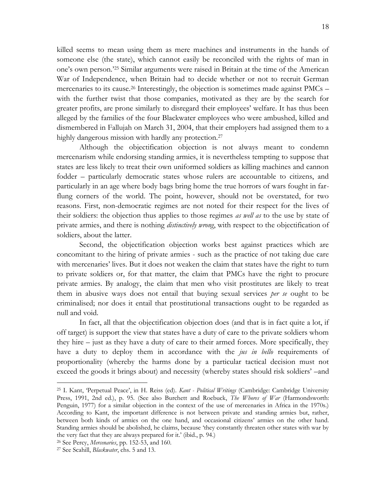killed seems to mean using them as mere machines and instruments in the hands of someone else (the state), which cannot easily be reconciled with the rights of man in one's own person.'<sup>25</sup> Similar arguments were raised in Britain at the time of the American War of Independence, when Britain had to decide whether or not to recruit German mercenaries to its cause.<sup>26</sup> Interestingly, the objection is sometimes made against PMCs – with the further twist that those companies, motivated as they are by the search for greater profits, are prone similarly to disregard their employees' welfare. It has thus been alleged by the families of the four Blackwater employees who were ambushed, killed and dismembered in Fallujah on March 31, 2004, that their employers had assigned them to a highly dangerous mission with hardly any protection.<sup>27</sup>

Although the objectification objection is not always meant to condemn mercenarism while endorsing standing armies, it is nevertheless tempting to suppose that states are less likely to treat their own uniformed soldiers as killing machines and cannon fodder – particularly democratic states whose rulers are accountable to citizens, and particularly in an age where body bags bring home the true horrors of wars fought in farflung corners of the world. The point, however, should not be overstated, for two reasons. First, non-democratic regimes are not noted for their respect for the lives of their soldiers: the objection thus applies to those regimes *as well as* to the use by state of private armies, and there is nothing *distinctively wrong*, with respect to the objectification of soldiers, about the latter.

Second, the objectification objection works best against practices which are concomitant to the hiring of private armies - such as the practice of not taking due care with mercenaries' lives. But it does not weaken the claim that states have the right to turn to private soldiers or, for that matter, the claim that PMCs have the right to procure private armies. By analogy, the claim that men who visit prostitutes are likely to treat them in abusive ways does not entail that buying sexual services *per se* ought to be criminalised; nor does it entail that prostitutional transactions ought to be regarded as null and void.

In fact, all that the objectification objection does (and that is in fact quite a lot, if off target) is support the view that states have a duty of care to the private soldiers whom they hire – just as they have a duty of care to their armed forces. More specifically, they have a duty to deploy them in accordance with the *jus in bello* requirements of proportionality (whereby the harms done by a particular tactical decision must not exceed the goods it brings about) and necessity (whereby states should risk soldiers' –and

<sup>25</sup> I. Kant, 'Perpetual Peace', in H. Reiss (ed). *Kant - Political Writings* (Cambridge: Cambridge University Press, 1991, 2nd ed.), p. 95. (See also Burchett and Roebuck, *The Whores of War* (Harmondsworth: Penguin, 1977) for a similar objection in the context of the use of mercenaries in Africa in the 1970s.) According to Kant, the important difference is not between private and standing armies but, rather, between both kinds of armies on the one hand, and occasional citizens' armies on the other hand. Standing armies should be abolished, he claims, because 'they constantly threaten other states with war by the very fact that they are always prepared for it.' (ibid., p. 94.)

<sup>26</sup> See Percy, *Mercenaries*, pp. 152-53, and 160.

<sup>27</sup> See Scahill, *Blackwater*, chs. 5 and 13.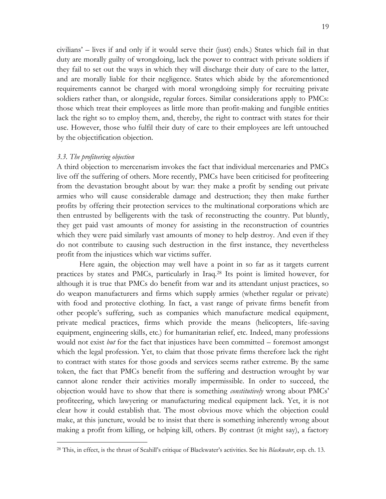civilians' – lives if and only if it would serve their (just) ends.) States which fail in that duty are morally guilty of wrongdoing, lack the power to contract with private soldiers if they fail to set out the ways in which they will discharge their duty of care to the latter, and are morally liable for their negligence. States which abide by the aforementioned requirements cannot be charged with moral wrongdoing simply for recruiting private soldiers rather than, or alongside, regular forces. Similar considerations apply to PMCs: those which treat their employees as little more than profit-making and fungible entities lack the right so to employ them, and, thereby, the right to contract with states for their use. However, those who fulfil their duty of care to their employees are left untouched by the objectification objection.

#### *3.3. The profiteering objection*

 $\overline{a}$ 

A third objection to mercenarism invokes the fact that individual mercenaries and PMCs live off the suffering of others. More recently, PMCs have been criticised for profiteering from the devastation brought about by war: they make a profit by sending out private armies who will cause considerable damage and destruction; they then make further profits by offering their protection services to the multinational corporations which are then entrusted by belligerents with the task of reconstructing the country. Put bluntly, they get paid vast amounts of money for assisting in the reconstruction of countries which they were paid similarly vast amounts of money to help destroy. And even if they do not contribute to causing such destruction in the first instance, they nevertheless profit from the injustices which war victims suffer.

Here again, the objection may well have a point in so far as it targets current practices by states and PMCs, particularly in Iraq.<sup>28</sup> Its point is limited however, for although it is true that PMCs do benefit from war and its attendant unjust practices, so do weapon manufacturers and firms which supply armies (whether regular or private) with food and protective clothing. In fact, a vast range of private firms benefit from other people's suffering, such as companies which manufacture medical equipment, private medical practices, firms which provide the means (helicopters, life-saving equipment, engineering skills, etc.) for humanitarian relief, etc. Indeed, many professions would not exist *but* for the fact that injustices have been committed – foremost amongst which the legal profession. Yet, to claim that those private firms therefore lack the right to contract with states for those goods and services seems rather extreme. By the same token, the fact that PMCs benefit from the suffering and destruction wrought by war cannot alone render their activities morally impermissible. In order to succeed, the objection would have to show that there is something *constitutively* wrong about PMCs' profiteering, which lawyering or manufacturing medical equipment lack. Yet, it is not clear how it could establish that. The most obvious move which the objection could make, at this juncture, would be to insist that there is something inherently wrong about making a profit from killing, or helping kill, others. By contrast (it might say), a factory

<sup>28</sup> This, in effect, is the thrust of Scahill's critique of Blackwater's activities. See his *Blackwater*, esp. ch. 13.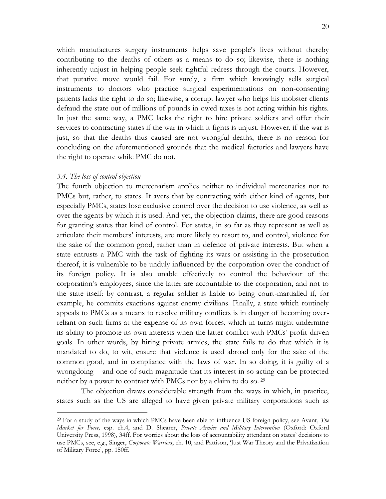which manufactures surgery instruments helps save people's lives without thereby contributing to the deaths of others as a means to do so; likewise, there is nothing inherently unjust in helping people seek rightful redress through the courts. However, that putative move would fail. For surely, a firm which knowingly sells surgical instruments to doctors who practice surgical experimentations on non-consenting patients lacks the right to do so; likewise, a corrupt lawyer who helps his mobster clients defraud the state out of millions of pounds in owed taxes is not acting within his rights. In just the same way, a PMC lacks the right to hire private soldiers and offer their services to contracting states if the war in which it fights is unjust. However, if the war is just, so that the deaths thus caused are not wrongful deaths, there is no reason for concluding on the aforementioned grounds that the medical factories and lawyers have the right to operate while PMC do not.

# *3.4. The loss-of-control objection*

 $\overline{a}$ 

The fourth objection to mercenarism applies neither to individual mercenaries nor to PMCs but, rather, to states. It avers that by contracting with either kind of agents, but especially PMCs, states lose exclusive control over the decision to use violence, as well as over the agents by which it is used. And yet, the objection claims, there are good reasons for granting states that kind of control. For states, in so far as they represent as well as articulate their members' interests, are more likely to resort to, and control, violence for the sake of the common good, rather than in defence of private interests. But when a state entrusts a PMC with the task of fighting its wars or assisting in the prosecution thereof, it is vulnerable to be unduly influenced by the corporation over the conduct of its foreign policy. It is also unable effectively to control the behaviour of the corporation's employees, since the latter are accountable to the corporation, and not to the state itself: by contrast, a regular soldier is liable to being court-martialled if, for example, he commits exactions against enemy civilians. Finally, a state which routinely appeals to PMCs as a means to resolve military conflicts is in danger of becoming overreliant on such firms at the expense of its own forces, which in turns might undermine its ability to promote its own interests when the latter conflict with PMCs' profit-driven goals. In other words, by hiring private armies, the state fails to do that which it is mandated to do, to wit, ensure that violence is used abroad only for the sake of the common good, and in compliance with the laws of war. In so doing, it is guilty of a wrongdoing – and one of such magnitude that its interest in so acting can be protected neither by a power to contract with PMCs nor by a claim to do so. <sup>29</sup>

The objection draws considerable strength from the ways in which, in practice, states such as the US are alleged to have given private military corporations such as

<sup>29</sup> For a study of the ways in which PMCs have been able to influence US foreign policy, see Avant, *The Market for Force,* esp. ch.4, and D. Shearer, *Private Armies and Military Intervention* (Oxford: Oxford University Press, 1998), 34ff. For worries about the loss of accountability attendant on states' decisions to use PMCs, see, e.g., Singer, *Corporate Warriors*, ch. 10, and Pattison, 'Just War Theory and the Privatization of Military Force', pp. 150ff.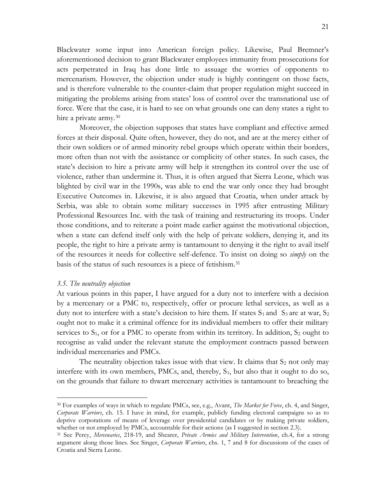Blackwater some input into American foreign policy. Likewise, Paul Bremner's aforementioned decision to grant Blackwater employees immunity from prosecutions for acts perpetrated in Iraq has done little to assuage the worries of opponents to mercenarism. However, the objection under study is highly contingent on those facts, and is therefore vulnerable to the counter-claim that proper regulation might succeed in mitigating the problems arising from states' loss of control over the transnational use of force. Were that the case, it is hard to see on what grounds one can deny states a right to hire a private army.<sup>30</sup>

Moreover, the objection supposes that states have compliant and effective armed forces at their disposal. Quite often, however, they do not, and are at the mercy either of their own soldiers or of armed minority rebel groups which operate within their borders, more often than not with the assistance or complicity of other states. In such cases, the state's decision to hire a private army will help it strengthen its control over the use of violence, rather than undermine it. Thus, it is often argued that Sierra Leone, which was blighted by civil war in the 1990s, was able to end the war only once they had brought Executive Outcomes in. Likewise, it is also argued that Croatia, when under attack by Serbia, was able to obtain some military successes in 1995 after entrusting Military Professional Resources Inc. with the task of training and restructuring its troops. Under those conditions, and to reiterate a point made earlier against the motivational objection, when a state can defend itself only with the help of private soldiers, denying it, and its people, the right to hire a private army is tantamount to denying it the right to avail itself of the resources it needs for collective self-defence. To insist on doing so *simply* on the basis of the status of such resources is a piece of fetishism.<sup>31</sup>

# *3.5. The neutrality objection*

 $\overline{a}$ 

At various points in this paper, I have argued for a duty not to interfere with a decision by a mercenary or a PMC to, respectively, offer or procure lethal services, as well as a duty not to interfere with a state's decision to hire them. If states  $S_1$  and  $S_3$  are at war,  $S_2$ ought not to make it a criminal offence for its individual members to offer their military services to  $S_1$ , or for a PMC to operate from within its territory. In addition,  $S_2$  ought to recognise as valid under the relevant statute the employment contracts passed between individual mercenaries and PMCs.

The neutrality objection takes issue with that view. It claims that  $S_2$  not only may interfere with its own members, PMCs, and, thereby,  $S_1$ , but also that it ought to do so, on the grounds that failure to thwart mercenary activities is tantamount to breaching the

<sup>30</sup> For examples of ways in which to regulate PMCs, see, e.g., Avant, *The Market for Force*, ch. 4, and Singer, *Corporate Warriors*, ch. 15. I have in mind, for example, publicly funding electoral campaigns so as to deprive corporations of means of leverage over presidential candidates or by making private soldiers, whether or not employed by PMCs, accountable for their actions (as I suggested in section 2.3).

<sup>31</sup> See Percy, *Mercenaries*, 218-19, and Shearer, *Private Armies and Military Intervention*, ch.4, for a strong argument along those lines. See Singer, *Corporate Warriors*, chs. 1, 7 and 8 for discussions of the cases of Croatia and Sierra Leone.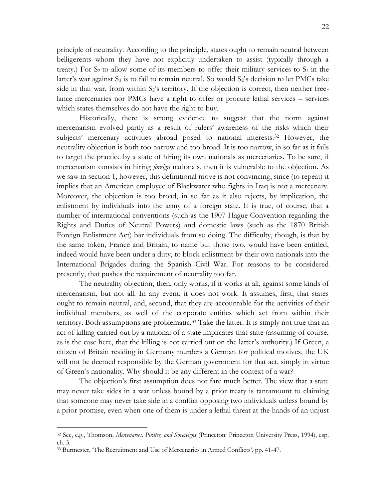principle of neutrality. According to the principle, states ought to remain neutral between belligerents whom they have not explicitly undertaken to assist (typically through a treaty.) For  $S_2$  to allow some of its members to offer their military services to  $S_1$  in the latter's war against  $S_3$  is to fail to remain neutral. So would  $S_2$ 's decision to let PMCs take side in that war, from within  $S_2$ 's territory. If the objection is correct, then neither freelance mercenaries nor PMCs have a right to offer or procure lethal services – services which states themselves do not have the right to buy.

Historically, there is strong evidence to suggest that the norm against mercenarism evolved partly as a result of rulers' awareness of the risks which their subjects' mercenary activities abroad posed to national interests.<sup>32</sup> However, the neutrality objection is both too narrow and too broad. It is too narrow, in so far as it fails to target the practice by a state of hiring its own nationals as mercenaries. To be sure, if mercenarism consists in hiring *foreign* nationals, then it is vulnerable to the objection. As we saw in section 1, however, this definitional move is not convincing, since (to repeat) it implies that an American employee of Blackwater who fights in Iraq is not a mercenary. Moreover, the objection is too broad, in so far as it also rejects, by implication, the enlistment by individuals into the army of a foreign state. It is true, of course, that a number of international conventions (such as the 1907 Hague Convention regarding the Rights and Duties of Neutral Powers) and domestic laws (such as the 1870 British Foreign Enlistment Act) bar individuals from so doing. The difficulty, though, is that by the same token, France and Britain, to name but those two, would have been entitled, indeed would have been under a duty, to block enlistment by their own nationals into the International Brigades during the Spanish Civil War. For reasons to be considered presently, that pushes the requirement of neutrality too far.

The neutrality objection, then, only works, if it works at all, against some kinds of mercenarism, but not all. In any event, it does not work. It assumes, first, that states ought to remain neutral, and, second, that they are accountable for the activities of their individual members, as well of the corporate entities which act from within their territory. Both assumptions are problematic.<sup>33</sup> Take the latter. It is simply not true that an act of killing carried out by a national of a state implicates that state (assuming of course, as is the case here, that the killing is not carried out on the latter's authority.) If Green, a citizen of Britain residing in Germany murders a German for political motives, the UK will not be deemed responsible by the German government for that act, simply in virtue of Green's nationality. Why should it be any different in the context of a war?

The objection's first assumption does not fare much better. The view that a state may never take sides in a war unless bound by a prior treaty is tantamount to claiming that someone may never take side in a conflict opposing two individuals unless bound by a prior promise, even when one of them is under a lethal threat at the hands of an unjust

<sup>32</sup> See, e.g., Thomson, *Mercenaries, Pirates, and Sovereigns* (Princeton: Princeton University Press, 1994), esp. ch. 3.

<sup>33</sup> Burmester, 'The Recruitment and Use of Mercenaries in Armed Conflicts', pp. 41-47.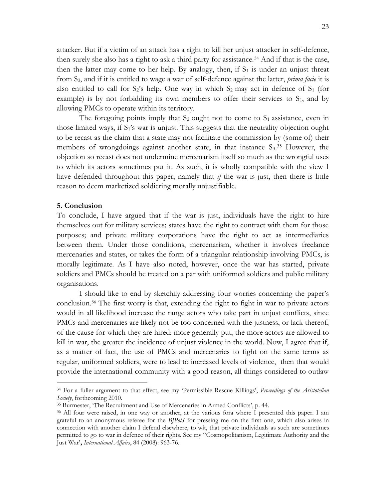attacker. But if a victim of an attack has a right to kill her unjust attacker in self-defence, then surely she also has a right to ask a third party for assistance.<sup>34</sup> And if that is the case, then the latter may come to her help. By analogy, then, if  $S_1$  is under an unjust threat from S3, and if it is entitled to wage a war of self-defence against the latter, *prima facie* it is also entitled to call for  $S_2$ 's help. One way in which  $S_2$  may act in defence of  $S_1$  (for example) is by not forbidding its own members to offer their services to  $S_1$ , and by allowing PMCs to operate within its territory.

The foregoing points imply that  $S_2$  ought not to come to  $S_1$  assistance, even in those limited ways, if  $S_1$ 's war is unjust. This suggests that the neutrality objection ought to be recast as the claim that a state may not facilitate the commission by (some of) their members of wrongdoings against another state, in that instance S<sub>3</sub>.<sup>35</sup> However, the objection so recast does not undermine mercenarism itself so much as the wrongful uses to which its actors sometimes put it. As such, it is wholly compatible with the view I have defended throughout this paper, namely that *if* the war is just, then there is little reason to deem marketized soldiering morally unjustifiable.

### **5. Conclusion**

 $\overline{a}$ 

To conclude, I have argued that if the war is just, individuals have the right to hire themselves out for military services; states have the right to contract with them for those purposes; and private military corporations have the right to act as intermediaries between them. Under those conditions, mercenarism, whether it involves freelance mercenaries and states, or takes the form of a triangular relationship involving PMCs, is morally legitimate. As I have also noted, however, once the war has started, private soldiers and PMCs should be treated on a par with uniformed soldiers and public military organisations.

I should like to end by sketchily addressing four worries concerning the paper's conclusion.<sup>36</sup> The first worry is that, extending the right to fight in war to private actors would in all likelihood increase the range actors who take part in unjust conflicts, since PMCs and mercenaries are likely not be too concerned with the justness, or lack thereof, of the cause for which they are hired: more generally put, the more actors are allowed to kill in war, the greater the incidence of unjust violence in the world. Now, I agree that if, as a matter of fact, the use of PMCs and mercenaries to fight on the same terms as regular, uniformed soldiers, were to lead to increased levels of violence, then that would provide the international community with a good reason, all things considered to outlaw

<sup>34</sup> For a fuller argument to that effect, see my 'Permissible Rescue Killings', *Proceedings of the Aristotelian Society*, forthcoming 2010.

<sup>35</sup> Burmester, 'The Recruitment and Use of Mercenaries in Armed Conflicts', p. 44.

<sup>36</sup> All four were raised, in one way or another, at the various fora where I presented this paper. I am grateful to an anonymous referee for the *BJPolS* for pressing me on the first one, which also arises in connection with another claim I defend elsewhere, to wit, that private individuals as such are sometimes permitted to go to war in defence of their rights. See my ''Cosmopolitanism, Legitimate Authority and the Just War'**,** *International Affairs*, 84 (2008): 963-76.